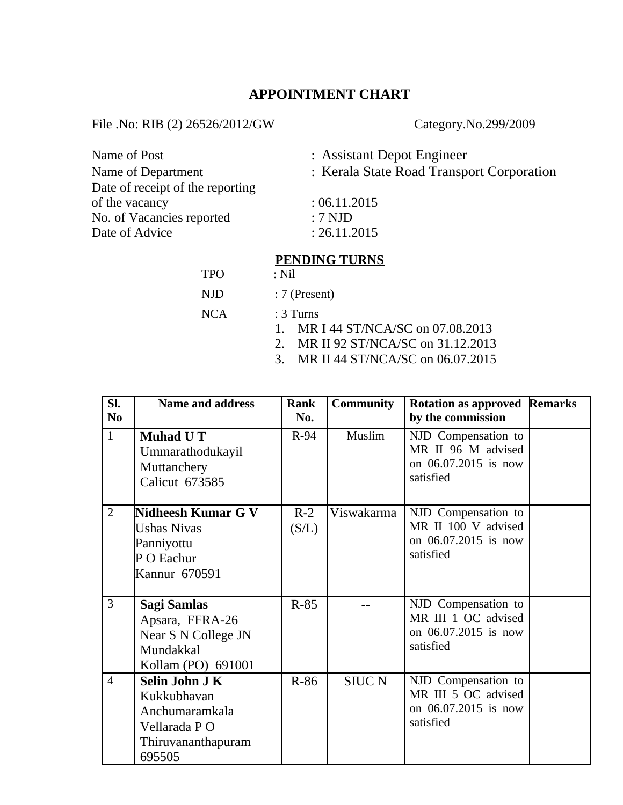### **APPOINTMENT CHART**

File .No: RIB (2) 26526/2012/GW Category.No.299/2009

TPO

| Name of Post                     | : Assistant Depot Engineer                |  |  |
|----------------------------------|-------------------------------------------|--|--|
| Name of Department               | : Kerala State Road Transport Corporation |  |  |
| Date of receipt of the reporting |                                           |  |  |
| of the vacancy                   | :06.11.2015                               |  |  |
| No. of Vacancies reported        | $: 7$ NJD                                 |  |  |
| Date of Advice                   | : 26.11.2015                              |  |  |
|                                  |                                           |  |  |

# **PENDING TURNS**<br>: Nil

| NJD | $: 7$ (Present) |  |
|-----|-----------------|--|
|     |                 |  |

- NCA : 3 Turns
	- 1. MR I 44 ST/NCA/SC on 07.08.2013
	- 2. MR II 92 ST/NCA/SC on 31.12.2013
	- 3. MR II 44 ST/NCA/SC on 06.07.2015

| SI.<br>N <sub>0</sub> | <b>Name and address</b>                                                                                | Rank<br>No.    | <b>Community</b> | <b>Rotation as approved Remarks</b><br>by the commission                        |  |
|-----------------------|--------------------------------------------------------------------------------------------------------|----------------|------------------|---------------------------------------------------------------------------------|--|
| $\mathbf{1}$          | <b>Muhad U T</b><br>Ummarathodukayil<br>Muttanchery<br>Calicut 673585                                  | $R-94$         | Muslim           | NJD Compensation to<br>MR II 96 M advised<br>on 06.07.2015 is now<br>satisfied  |  |
| $\overline{2}$        | Nidheesh Kumar G V<br><b>Ushas Nivas</b><br>Panniyottu<br>P O Eachur<br>Kannur 670591                  | $R-2$<br>(S/L) | Viswakarma       | NJD Compensation to<br>MR II 100 V advised<br>on 06.07.2015 is now<br>satisfied |  |
| 3                     | Sagi Samlas<br>Apsara, FFRA-26<br>Near S N College JN<br>Mundakkal<br>Kollam (PO) 691001               | $R-85$         |                  | NJD Compensation to<br>MR III 1 OC advised<br>on 06.07.2015 is now<br>satisfied |  |
| $\overline{4}$        | <b>Selin John J K</b><br>Kukkubhavan<br>Anchumaramkala<br>Vellarada PO<br>Thiruvananthapuram<br>695505 | $R-86$         | <b>SIUC N</b>    | NJD Compensation to<br>MR III 5 OC advised<br>on 06.07.2015 is now<br>satisfied |  |